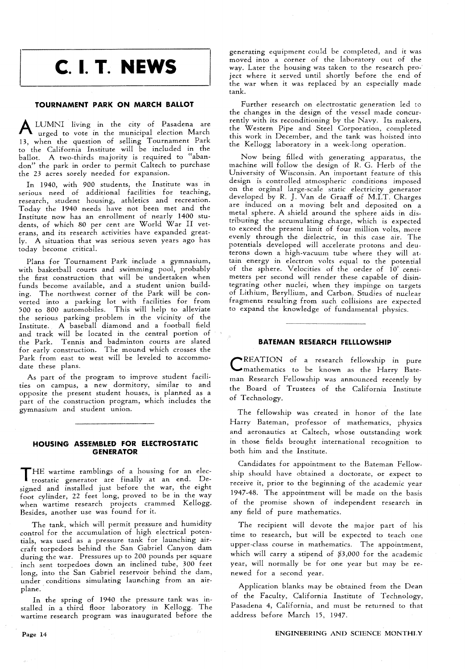# **C. 1. T. NEWS**

## **TOURNAMENT PARK ON MARCH BALLOT**

**A** LUMNI living in the city of Pasadena are urged to vote in the municipal election March 13, when the question of selling Tournament Park to the California Institute will be included in the ballot. A two-thirds majority is required to "abandon" the park in order to permit Caltech to purchase the 23 acres sorely needed for expansion.

In 1940, with 900 students, the Institute was in serious need of additional facilities for teaching, research, student housing, athletics and recreation. Today the 1940 needs have not been met and the Institute now has an enrollment of nearly 1400 students, of which 80 per cent are World War I1 veterans, and its research activities have expanded greatly. A situation that was serious seven years ago has today become critical.

Plans for Tournament Park include a gymnasium, with basketball courts and swimming pool, probably the first construction that will be undertaken when funds become available, and a student union building. The northwest corner of the Park will be converted into a parking lot with facilities for from 500 to 800 automobiles. This will help to alleviate the serious parking problem in the vicinity of the Institute. A baseball diamond and a football field and track will be located in the central portion of the Park. Tennis and badminton courts are slated for early construction. The mound which crosses the Park from east to west will be leveled to accommodate these plans.

As part of the program to improve student facilities on campus, a new dormitory, similar to and opposite the present student houses, is planned as a part of the construction program, which includes the gymnasium and student union.

# **HOUSING ASSEMBLED FOR ELECTROSTATIC GENERATOR**

THE wartime ramblings of a housing for an elec-trostatic generator are finally at an end. Designed and installed just before the war, the eight foot cylinder, 22 feet long, proved to be in the way when wartime research projects crammed Kellogg. Besides, another use was found for it.

The tank, which will permit pressure and humidity control for the accumulation of high electrical potentials, was used as a pressure tank for launching aircraft torpedoes behind the San Gabriel Canyon dam during the war. Pressures up to 200 pounds per square inch sent torpedoes down an inclined tube, 300 feet long, into the San Gabriel reservoir behind the dam, under conditions simulating launching from an airplane.

In the spring of 1940 the pressure tank was installed in a third floor laboratory in Kellogg. The wartime research program was inaugurated before the

generating equipment could be completed, and it was moved into a corner of the laboratory out of the way. Later the housing was taken to the research project where it served until shortly before the end of the war when it was replaced by an especially made tank.

Further research on electrostatic generation led to the changes in the design of the vessel made concurrently with its reconditioning by the Navy. Its makers, the Western Pipe and Steel Corporation, completed this work in December, and the tank was hoisted into the Kellogg laboratory in a week-long operation.

Now being filled with generating apparatus, the machine will follow the design of R. G. Herb of the University of Wisconsin. An important feature of this design is controlled atmospheric conditions imposed on the orginal large-scale static electricity generator developed by R. J. Van de Graaff of M.I.T. Charges are induced on a moving belt and deposited on a metal sphere. A shield around the sphere aids in distributing the accumulating charge, which is expected to exceed the present limit of four million volts, more evenly through the dielectric, in this case air. The potentials developed will accelerate protons and deuterons down a high-vacuum tube where they will attain energy in electron volts equal to the potential of the sphere. Velocities of the order of 10° centimeters per second will render these capable of disintegrating other nuclei, when they impinge on targets of Lithium, Beryllium, and Carbon. Studies of nuclear fragments resulting from such collisions are expected to expand the knowledge of fundamental physics.

## **BATEMAN RESEARCH FELLLOWSHIP**

c REATION of a research fellowship in pure mathematics to be known as the Harry Bateman Research Fellowship was announced recently by the Board of Trustees of the California Institute of Technology.

The fellowship was created in honor of the late Harry Bateman, professor of mathematics, physics and aeronautics at Caltech, whose outstanding work in those fields brought international recognition to both him and the Institute.

Candidates for appointment to the Bateman Fellowship should have obtained a doctorate, or expect to receive it, prior to the beginning of the academic year 1947-48. The appointment will be made on the basis of the promise shown of independent research in any field of pure mathematics.

The recipient will devote the major part of his time to research, but will be expected to teach one upper-class course in mathematics. The appointment, which will carry a stipend of \$3,000 for the academic year, will normally be for one year but may be renewed for a second year.

Application blanks may be obtained from. the Dean of the Faculty, California Institute of Technology, Pasadena 4, California, and must be returned to that address before March 15, 1947.

#### **ENGINEERING AND SCIENCE MONTHLY**